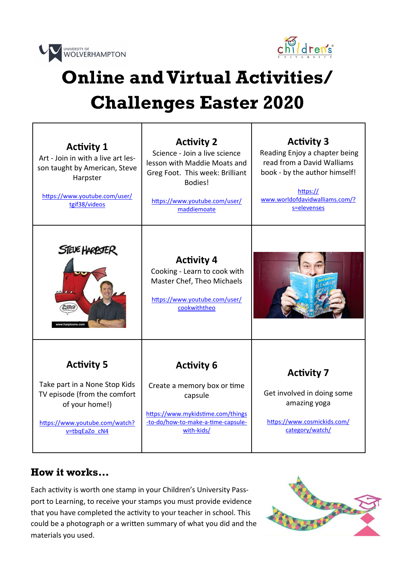



٦

## **Online and Virtual Activities/ Challenges Easter 2020**

Т

Τ

| <b>Activity 1</b><br>Art - Join in with a live art les-<br>son taught by American, Steve<br>Harpster<br>https://www.youtube.com/user/<br>tgif38/videos  | <b>Activity 2</b><br>Science - Join a live science<br>lesson with Maddie Moats and<br>Greg Foot. This week: Brilliant<br>Bodies!<br>https://www.youtube.com/user/<br>maddiemoate | <b>Activity 3</b><br>Reading Enjoy a chapter being<br>read from a David Walliams<br>book - by the author himself!<br>https://<br>www.worldofdavidwalliams.com/?<br>s=elevenses |
|---------------------------------------------------------------------------------------------------------------------------------------------------------|----------------------------------------------------------------------------------------------------------------------------------------------------------------------------------|--------------------------------------------------------------------------------------------------------------------------------------------------------------------------------|
| STEVE HARPSTER<br>Mharptoons.com                                                                                                                        | <b>Activity 4</b><br>Cooking - Learn to cook with<br>Master Chef, Theo Michaels<br>https://www.youtube.com/user/<br>cookwiththeo                                                 |                                                                                                                                                                                |
| <b>Activity 5</b><br>Take part in a None Stop Kids<br>TV episode (from the comfort<br>of your home!)<br>https://www.youtube.com/watch?<br>v=tbqEaZo cN4 | <b>Activity 6</b><br>Create a memory box or time<br>capsule<br>https://www.mykidstime.com/things<br>-to-do/how-to-make-a-time-capsule-<br>with-kids/                             | <b>Activity 7</b><br>Get involved in doing some<br>amazing yoga<br>https://www.cosmickids.com/<br>category/watch/                                                              |

## **How it works…**

Each activity is worth one stamp in your Children's University Passport to Learning, to receive your stamps you must provide evidence that you have completed the activity to your teacher in school. This could be a photograph or a written summary of what you did and the materials you used.